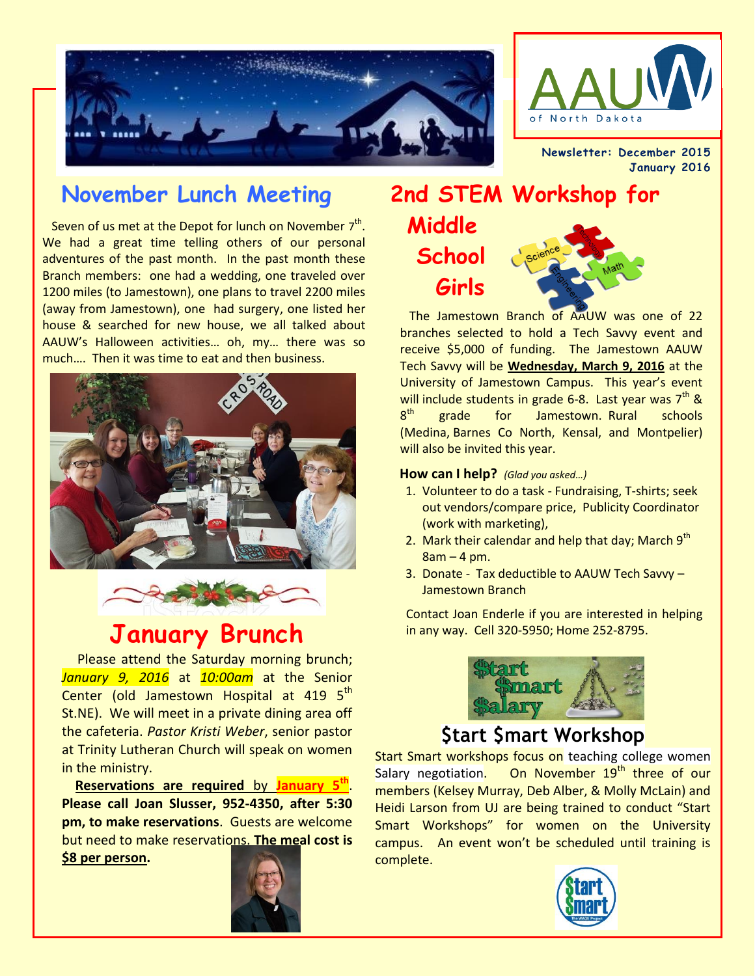



**Newsletter: December 2015 January 2016** 

## **November Lunch Meeting**

Seven of us met at the Depot for lunch on November  $7<sup>th</sup>$ . We had a great time telling others of our personal adventures of the past month. In the past month these Branch members: one had a wedding, one traveled over 1200 miles (to Jamestown), one plans to travel 2200 miles (away from Jamestown), one had surgery, one listed her house & searched for new house, we all talked about AAUW's Halloween activities… oh, my… there was so much…. Then it was time to eat and then business.





 Please attend the Saturday morning brunch; *January 9, 2016* at *10:00am* at the Senior Center (old Jamestown Hospital at 419 5<sup>th</sup> St.NE). We will meet in a private dining area off the cafeteria. *Pastor Kristi Weber*, senior pastor at Trinity Lutheran Church will speak on women in the ministry.

 **Reservations are required** by **January 5th** . **Please call Joan Slusser, 952-4350, after 5:30 pm, to make reservations**. Guests are welcome but need to make reservations. **The meal cost is \$8 per person.**



# **2nd STEM Workshop for Middle School Girls**

 The Jamestown Branch of AAUW was one of 22 branches selected to hold a Tech Savvy event and receive \$5,000 of funding. The Jamestown AAUW Tech Savvy will be **Wednesday, March 9, 2016** at the University of Jamestown Campus. This year's event will include students in grade 6-8. Last year was  $7<sup>th</sup>$  &  $8<sup>th</sup>$ erade for Jamestown. Rural schools (Medina, Barnes Co North, Kensal, and Montpelier) will also be invited this year.

#### **How can I help?** *(Glad you asked…)*

- 1. Volunteer to do a task Fundraising, T-shirts; seek out vendors/compare price, Publicity Coordinator (work with marketing),
- 2. Mark their calendar and help that day; March  $9<sup>th</sup>$  $8am - 4 pm$ .
- 3. Donate Tax deductible to AAUW Tech Savvy Jamestown Branch

Contact Joan Enderle if you are interested in helping **January Brunch** in any way. Cell 320-5950; Home 252-8795.



#### **\$tart \$mart Workshop**

Start Smart workshops focus on teaching college women Salary negotiation. On November 19<sup>th</sup> three of our members (Kelsey Murray, Deb Alber, & Molly McLain) and Heidi Larson from UJ are being trained to conduct "Start Smart Workshops" for women on the University campus. An event won't be scheduled until training is complete.